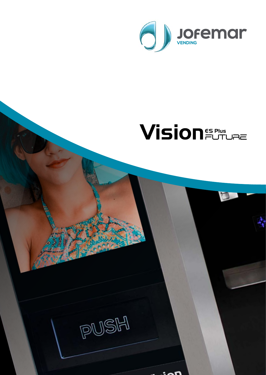

# **Vision** EUTURE

D

PUSH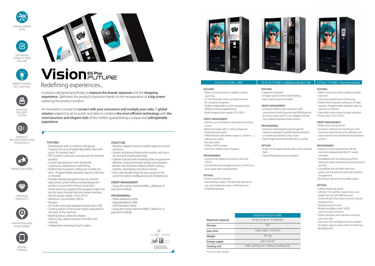| <b>VISION ES PLUS FUTURE</b>             |
|------------------------------------------|
| 8 trays of up to 10 channels             |
| <b>YFS</b>                               |
| $1.830 \times 800 \times 1010$ mm        |
| 341 kg                                   |
| 230 V, 50 Hz*                            |
| with cooling unit / without cooling unit |
|                                          |

# FEATURES

- Temperature: with or without cold group. • Capacity for up to 8 height-adjustable trays with up to 10 channels each.
- FIFO system. Continues renewal with the freshest product.
- Correct sale detection with photocells. • Continuous performance self-testing. • Health timer to prevent selling out-of-date product. Programmable expiration date by selection or channel.
- Flexible setupand programming. Its channel adjustment system allows incorporating new products at any time without using tools. • Power and thrust speed of the programmable motors for each channel from the master machine.
- Electric power supply: 230 V, 50 Hz.
- Maximum consumption: 600 w. • Elevator.
- 42 "screen and video playback system from USB • Cooling system of the active screen integrated in
- the door of the machine. • Backlit product collection drawer.
- Able to play videos stored on the USB continuously.

A solution designed specifically to **improve the brands' exposure** and the **shopping** experience. Optimizes the products' exposure thanks to the incorporation of a big screen replacing the product window

• Independent working of each system.

STRUCTURE

- Modular cabinet structure, treated against rust and corrosion. • Gusset closing and three anchor points, with secu-
- rity lock and vandal-proof strip.
- Cabinet injected with insulating foam to guarantee efficient cooling and lower energy consumption.
- Bluetec line, finished in black metallic coating , stainless steel frames and silver motives.
- Door with double hinge for easy access to the screen for better configuration and maintenance

# CREDIT MANAGEMENT

• Using the master machine (MSK, Coffeemar or payment module).

# PROGRAMMING

- Video playback system
- (Upgradeable by USB)
- USB (Standard video).
- Using the master machine (MSK, Coffeemar or payment module).









# ES PLUS FUTURE + MSK ES PLUS FUTURE + Coffeemar Bluetec 546 ES PLUS FUTURE + Payment module

An innovative concept to connect with your consumers and multiply your sales. A global solution adapted to all its public and able to combine the most efficient technology with the most luxurious and elegant style of the market, guaranteeing a unique and unforgettable experience.



Redefining experiences...

EASYFLEX DELIVERY SYSTEM



PRODUCT DELIVERY DETECTION PHOTOCELLS







OPTIMISED CAPACITY AND VOLUME



LED LIGHTING

**Vision** EUTURE



BRAND EXPOSURE



PREMIUM PRODUCTS



INNOVATION AND POSITIONING



DIGITAL SIGNAGE







- Able to control up to four satellite vending
- 27 "Full HD touch screen vertically oriented.
- PC computer integrated. • Widely configurable It can be equipped with
- different interchangeable fronts. • Multi-voltage power supply (110-220 V).
- 

# CREDIT MANAGEMENT

- Jofemar coin mechanism with external recovery motor.
- Banknote reader with or without dispenser.
- Motorised card reader.
- Different bank card readers (ingenico, verifone…).
- Jofemar key reader.
- Barcode reader.
- GPRS or UMTS modem.
- Up to four Jofemar return hoppers.

# PROGRAMMING

- Control of the dispensing machine through TOOLS.
- Centralized kiosk management from J-SUITE or in local mode with Local Backoffice.

# **OPTIONS**

• Printer ticket for customer. • Card and keys reader J130 and J300 Jofemar or any card reader that works in MDB protocol. • Amplified speakers.

FEATURES

• Capacitive keyboard.

# • Smudge-proof stainless steel finishing. • New model of aluminum boiler.

# CREDIT MANAGEMENT

• Innovative Jofemar coin mechanism with connection for both Executive and MDB protocols, five return tubes and T-15 coin validator with the most reliable fraud-prevention systems.

PROGRAMMING

**OPTIONS** 

• General on site programming through the machine's keyboard, EasyFlash hand terminal, PC

- or modem by telemetry using J-Suite.
- Data storage and stock control and accounting.

• Screen on the upper part for videos and nutritional

facts.

• Card and banknote payment systems.

### FEATURES

- Able to control up to four satellite vending machines.
- Continuous performance self-testing.
- Health timer to prevent selling out-of-date products. Programmable expiration date by selection or channel.
- Adjustable motor torque for each selection.
- Power mains: 230 V, 50 Hz.

# CREDIT MANAGEMENT

- MDB or Executive protocol.
- Innovative Jofemar coin mechanism with five return tubes for up to five different coin values and the most reliable fraud-prevention systems.

### PROGRAMMING

- General on site programming with the machine's keyboard and the LCD screen messages.
- Compatible with the Jofemar EasyFlash tooling for stock control and accounting hand terminal.
- Compatible with the latest telemetry systems for the end-to-end remote machine management.
- RS232 port with accounting data output.

# OPTIONS

- Jofemar banknote reader.
- Jofemar J130 card/key reader or any card reader that uses the MDB protocol.
- Control of up to four tubes to return manual loading excess.
- Vandal-proof coin entry.
- Modem installation and J-SUITE communication interface.
- Online operation with real-time control of users and sales.
- Up to four slave vending machine modules for higher capacity and number of selections.
- Receipt printer.

\*Check for other voltages.